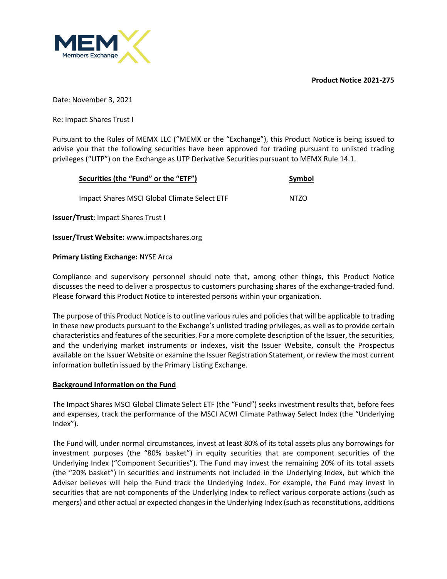**Product Notice 2021-275**



Date: November 3, 2021

Re: Impact Shares Trust I

Pursuant to the Rules of MEMX LLC ("MEMX or the "Exchange"), this Product Notice is being issued to advise you that the following securities have been approved for trading pursuant to unlisted trading privileges ("UTP") on the Exchange as UTP Derivative Securities pursuant to MEMX Rule 14.1.

| Securities (the "Fund" or the "ETF")         | Symbol |  |
|----------------------------------------------|--------|--|
| Impact Shares MSCI Global Climate Select ETF | NTZO   |  |
| u /Tuushu leenaat Charac Trust l             |        |  |

**Issuer/Trust:** Impact Shares Trust I

**Issuer/Trust Website:** www.impactshares.org

## **Primary Listing Exchange:** NYSE Arca

Compliance and supervisory personnel should note that, among other things, this Product Notice discusses the need to deliver a prospectus to customers purchasing shares of the exchange-traded fund. Please forward this Product Notice to interested persons within your organization.

The purpose of this Product Notice is to outline various rules and policies that will be applicable to trading in these new products pursuant to the Exchange's unlisted trading privileges, as well as to provide certain characteristics and features of the securities. For a more complete description of the Issuer, the securities, and the underlying market instruments or indexes, visit the Issuer Website, consult the Prospectus available on the Issuer Website or examine the Issuer Registration Statement, or review the most current information bulletin issued by the Primary Listing Exchange.

# **Background Information on the Fund**

The Impact Shares MSCI Global Climate Select ETF (the "Fund") seeks investment results that, before fees and expenses, track the performance of the MSCI ACWI Climate Pathway Select Index (the "Underlying Index").

The Fund will, under normal circumstances, invest at least 80% of its total assets plus any borrowings for investment purposes (the "80% basket") in equity securities that are component securities of the Underlying Index ("Component Securities"). The Fund may invest the remaining 20% of its total assets (the "20% basket") in securities and instruments not included in the Underlying Index, but which the Adviser believes will help the Fund track the Underlying Index. For example, the Fund may invest in securities that are not components of the Underlying Index to reflect various corporate actions (such as mergers) and other actual or expected changes in the Underlying Index (such as reconstitutions, additions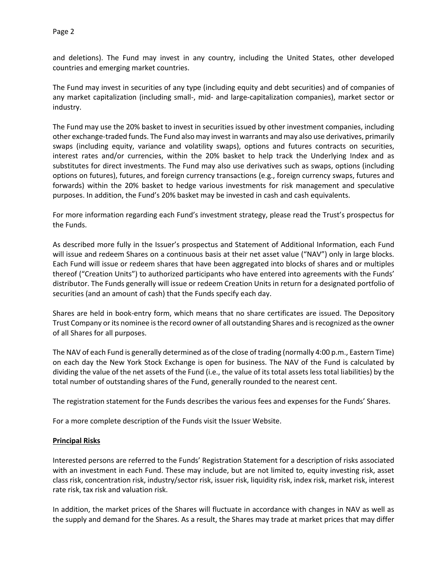and deletions). The Fund may invest in any country, including the United States, other developed countries and emerging market countries.

The Fund may invest in securities of any type (including equity and debt securities) and of companies of any market capitalization (including small-, mid- and large-capitalization companies), market sector or industry.

The Fund may use the 20% basket to invest in securities issued by other investment companies, including other exchange-traded funds. The Fund also may invest in warrants and may also use derivatives, primarily swaps (including equity, variance and volatility swaps), options and futures contracts on securities, interest rates and/or currencies, within the 20% basket to help track the Underlying Index and as substitutes for direct investments. The Fund may also use derivatives such as swaps, options (including options on futures), futures, and foreign currency transactions (e.g., foreign currency swaps, futures and forwards) within the 20% basket to hedge various investments for risk management and speculative purposes. In addition, the Fund's 20% basket may be invested in cash and cash equivalents.

For more information regarding each Fund's investment strategy, please read the Trust's prospectus for the Funds.

As described more fully in the Issuer's prospectus and Statement of Additional Information, each Fund will issue and redeem Shares on a continuous basis at their net asset value ("NAV") only in large blocks. Each Fund will issue or redeem shares that have been aggregated into blocks of shares and or multiples thereof ("Creation Units") to authorized participants who have entered into agreements with the Funds' distributor. The Funds generally will issue or redeem Creation Units in return for a designated portfolio of securities (and an amount of cash) that the Funds specify each day.

Shares are held in book-entry form, which means that no share certificates are issued. The Depository Trust Company or its nominee is the record owner of all outstanding Shares and is recognized as the owner of all Shares for all purposes.

The NAV of each Fund is generally determined as of the close of trading (normally 4:00 p.m., Eastern Time) on each day the New York Stock Exchange is open for business. The NAV of the Fund is calculated by dividing the value of the net assets of the Fund (i.e., the value of its total assets less total liabilities) by the total number of outstanding shares of the Fund, generally rounded to the nearest cent.

The registration statement for the Funds describes the various fees and expenses for the Funds' Shares.

For a more complete description of the Funds visit the Issuer Website.

# **Principal Risks**

Interested persons are referred to the Funds' Registration Statement for a description of risks associated with an investment in each Fund. These may include, but are not limited to, equity investing risk, asset class risk, concentration risk, industry/sector risk, issuer risk, liquidity risk, index risk, market risk, interest rate risk, tax risk and valuation risk.

In addition, the market prices of the Shares will fluctuate in accordance with changes in NAV as well as the supply and demand for the Shares. As a result, the Shares may trade at market prices that may differ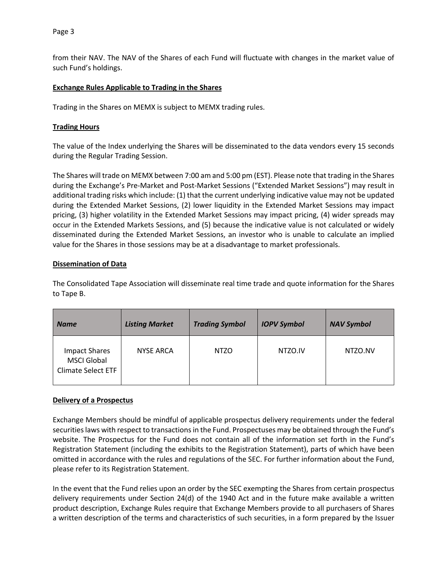Page 3

from their NAV. The NAV of the Shares of each Fund will fluctuate with changes in the market value of such Fund's holdings.

# **Exchange Rules Applicable to Trading in the Shares**

Trading in the Shares on MEMX is subject to MEMX trading rules.

## **Trading Hours**

The value of the Index underlying the Shares will be disseminated to the data vendors every 15 seconds during the Regular Trading Session.

The Shares will trade on MEMX between 7:00 am and 5:00 pm (EST). Please note that trading in the Shares during the Exchange's Pre-Market and Post-Market Sessions ("Extended Market Sessions") may result in additional trading risks which include: (1) that the current underlying indicative value may not be updated during the Extended Market Sessions, (2) lower liquidity in the Extended Market Sessions may impact pricing, (3) higher volatility in the Extended Market Sessions may impact pricing, (4) wider spreads may occur in the Extended Markets Sessions, and (5) because the indicative value is not calculated or widely disseminated during the Extended Market Sessions, an investor who is unable to calculate an implied value for the Shares in those sessions may be at a disadvantage to market professionals.

## **Dissemination of Data**

The Consolidated Tape Association will disseminate real time trade and quote information for the Shares to Tape B.

| <b>Name</b>                                                             | <b>Listing Market</b> | <b>Trading Symbol</b> | <b>IOPV Symbol</b> | <b>NAV Symbol</b> |
|-------------------------------------------------------------------------|-----------------------|-----------------------|--------------------|-------------------|
| <b>Impact Shares</b><br><b>MSCI Global</b><br><b>Climate Select ETF</b> | <b>NYSE ARCA</b>      | <b>NTZO</b>           | NTZO.IV            | NTZO.NV           |

# **Delivery of a Prospectus**

Exchange Members should be mindful of applicable prospectus delivery requirements under the federal securities laws with respect to transactions in the Fund. Prospectuses may be obtained through the Fund's website. The Prospectus for the Fund does not contain all of the information set forth in the Fund's Registration Statement (including the exhibits to the Registration Statement), parts of which have been omitted in accordance with the rules and regulations of the SEC. For further information about the Fund, please refer to its Registration Statement.

In the event that the Fund relies upon an order by the SEC exempting the Shares from certain prospectus delivery requirements under Section 24(d) of the 1940 Act and in the future make available a written product description, Exchange Rules require that Exchange Members provide to all purchasers of Shares a written description of the terms and characteristics of such securities, in a form prepared by the Issuer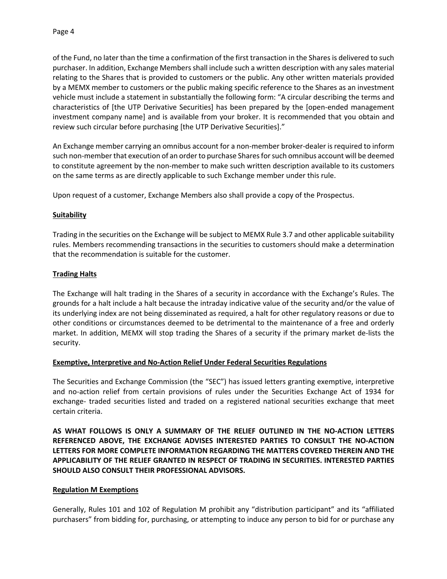of the Fund, no later than the time a confirmation of the first transaction in the Shares is delivered to such purchaser. In addition, Exchange Members shall include such a written description with any sales material relating to the Shares that is provided to customers or the public. Any other written materials provided by a MEMX member to customers or the public making specific reference to the Shares as an investment vehicle must include a statement in substantially the following form: "A circular describing the terms and characteristics of [the UTP Derivative Securities] has been prepared by the [open-ended management investment company name] and is available from your broker. It is recommended that you obtain and review such circular before purchasing [the UTP Derivative Securities]."

An Exchange member carrying an omnibus account for a non-member broker-dealer is required to inform such non-member that execution of an order to purchase Shares for such omnibus account will be deemed to constitute agreement by the non-member to make such written description available to its customers on the same terms as are directly applicable to such Exchange member under this rule.

Upon request of a customer, Exchange Members also shall provide a copy of the Prospectus.

## **Suitability**

Trading in the securities on the Exchange will be subject to MEMX Rule 3.7 and other applicable suitability rules. Members recommending transactions in the securities to customers should make a determination that the recommendation is suitable for the customer.

## **Trading Halts**

The Exchange will halt trading in the Shares of a security in accordance with the Exchange's Rules. The grounds for a halt include a halt because the intraday indicative value of the security and/or the value of its underlying index are not being disseminated as required, a halt for other regulatory reasons or due to other conditions or circumstances deemed to be detrimental to the maintenance of a free and orderly market. In addition, MEMX will stop trading the Shares of a security if the primary market de-lists the security.

#### **Exemptive, Interpretive and No-Action Relief Under Federal Securities Regulations**

The Securities and Exchange Commission (the "SEC") has issued letters granting exemptive, interpretive and no-action relief from certain provisions of rules under the Securities Exchange Act of 1934 for exchange- traded securities listed and traded on a registered national securities exchange that meet certain criteria.

**AS WHAT FOLLOWS IS ONLY A SUMMARY OF THE RELIEF OUTLINED IN THE NO-ACTION LETTERS REFERENCED ABOVE, THE EXCHANGE ADVISES INTERESTED PARTIES TO CONSULT THE NO-ACTION LETTERS FOR MORE COMPLETE INFORMATION REGARDING THE MATTERS COVERED THEREIN AND THE APPLICABILITY OF THE RELIEF GRANTED IN RESPECT OF TRADING IN SECURITIES. INTERESTED PARTIES SHOULD ALSO CONSULT THEIR PROFESSIONAL ADVISORS.**

#### **Regulation M Exemptions**

Generally, Rules 101 and 102 of Regulation M prohibit any "distribution participant" and its "affiliated purchasers" from bidding for, purchasing, or attempting to induce any person to bid for or purchase any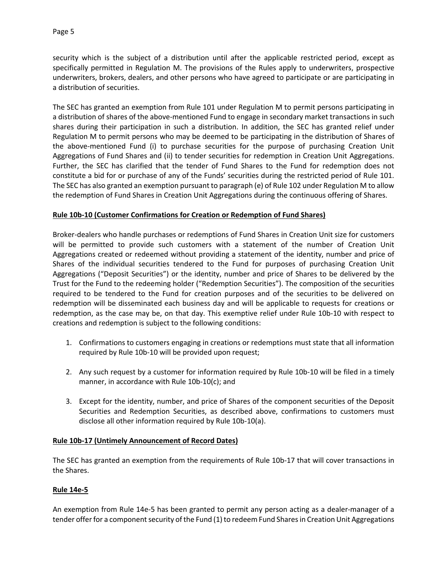security which is the subject of a distribution until after the applicable restricted period, except as specifically permitted in Regulation M. The provisions of the Rules apply to underwriters, prospective underwriters, brokers, dealers, and other persons who have agreed to participate or are participating in a distribution of securities.

The SEC has granted an exemption from Rule 101 under Regulation M to permit persons participating in a distribution of shares of the above-mentioned Fund to engage in secondary market transactions in such shares during their participation in such a distribution. In addition, the SEC has granted relief under Regulation M to permit persons who may be deemed to be participating in the distribution of Shares of the above-mentioned Fund (i) to purchase securities for the purpose of purchasing Creation Unit Aggregations of Fund Shares and (ii) to tender securities for redemption in Creation Unit Aggregations. Further, the SEC has clarified that the tender of Fund Shares to the Fund for redemption does not constitute a bid for or purchase of any of the Funds' securities during the restricted period of Rule 101. The SEC has also granted an exemption pursuant to paragraph (e) of Rule 102 under Regulation M to allow the redemption of Fund Shares in Creation Unit Aggregations during the continuous offering of Shares.

# **Rule 10b-10 (Customer Confirmations for Creation or Redemption of Fund Shares)**

Broker-dealers who handle purchases or redemptions of Fund Shares in Creation Unit size for customers will be permitted to provide such customers with a statement of the number of Creation Unit Aggregations created or redeemed without providing a statement of the identity, number and price of Shares of the individual securities tendered to the Fund for purposes of purchasing Creation Unit Aggregations ("Deposit Securities") or the identity, number and price of Shares to be delivered by the Trust for the Fund to the redeeming holder ("Redemption Securities"). The composition of the securities required to be tendered to the Fund for creation purposes and of the securities to be delivered on redemption will be disseminated each business day and will be applicable to requests for creations or redemption, as the case may be, on that day. This exemptive relief under Rule 10b-10 with respect to creations and redemption is subject to the following conditions:

- 1. Confirmations to customers engaging in creations or redemptions must state that all information required by Rule 10b-10 will be provided upon request;
- 2. Any such request by a customer for information required by Rule 10b-10 will be filed in a timely manner, in accordance with Rule 10b-10(c); and
- 3. Except for the identity, number, and price of Shares of the component securities of the Deposit Securities and Redemption Securities, as described above, confirmations to customers must disclose all other information required by Rule 10b-10(a).

# **Rule 10b-17 (Untimely Announcement of Record Dates)**

The SEC has granted an exemption from the requirements of Rule 10b-17 that will cover transactions in the Shares.

# **Rule 14e-5**

An exemption from Rule 14e-5 has been granted to permit any person acting as a dealer-manager of a tender offer for a component security of the Fund (1) to redeem Fund Shares in Creation Unit Aggregations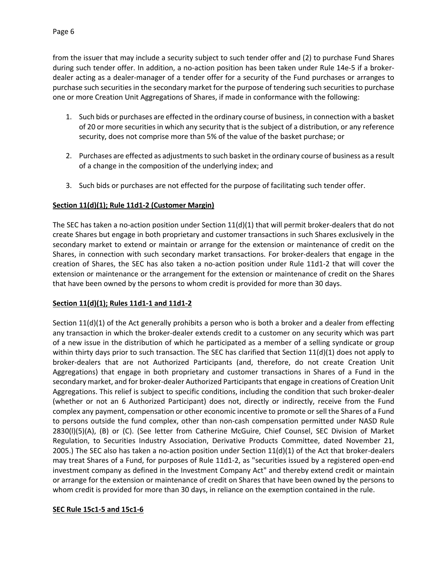from the issuer that may include a security subject to such tender offer and (2) to purchase Fund Shares during such tender offer. In addition, a no-action position has been taken under Rule 14e-5 if a brokerdealer acting as a dealer-manager of a tender offer for a security of the Fund purchases or arranges to purchase such securities in the secondary market for the purpose of tendering such securities to purchase one or more Creation Unit Aggregations of Shares, if made in conformance with the following:

- 1. Such bids or purchases are effected in the ordinary course of business, in connection with a basket of 20 or more securities in which any security that is the subject of a distribution, or any reference security, does not comprise more than 5% of the value of the basket purchase; or
- 2. Purchases are effected as adjustments to such basket in the ordinary course of business as a result of a change in the composition of the underlying index; and
- 3. Such bids or purchases are not effected for the purpose of facilitating such tender offer.

# **Section 11(d)(1); Rule 11d1-2 (Customer Margin)**

The SEC has taken a no-action position under Section 11(d)(1) that will permit broker-dealers that do not create Shares but engage in both proprietary and customer transactions in such Shares exclusively in the secondary market to extend or maintain or arrange for the extension or maintenance of credit on the Shares, in connection with such secondary market transactions. For broker-dealers that engage in the creation of Shares, the SEC has also taken a no-action position under Rule 11d1-2 that will cover the extension or maintenance or the arrangement for the extension or maintenance of credit on the Shares that have been owned by the persons to whom credit is provided for more than 30 days.

# **Section 11(d)(1); Rules 11d1-1 and 11d1-2**

Section 11(d)(1) of the Act generally prohibits a person who is both a broker and a dealer from effecting any transaction in which the broker-dealer extends credit to a customer on any security which was part of a new issue in the distribution of which he participated as a member of a selling syndicate or group within thirty days prior to such transaction. The SEC has clarified that Section 11(d)(1) does not apply to broker-dealers that are not Authorized Participants (and, therefore, do not create Creation Unit Aggregations) that engage in both proprietary and customer transactions in Shares of a Fund in the secondary market, and for broker-dealer Authorized Participants that engage in creations of Creation Unit Aggregations. This relief is subject to specific conditions, including the condition that such broker-dealer (whether or not an 6 Authorized Participant) does not, directly or indirectly, receive from the Fund complex any payment, compensation or other economic incentive to promote or sell the Shares of a Fund to persons outside the fund complex, other than non-cash compensation permitted under NASD Rule 2830(l)(5)(A), (B) or (C). (See letter from Catherine McGuire, Chief Counsel, SEC Division of Market Regulation, to Securities Industry Association, Derivative Products Committee, dated November 21, 2005.) The SEC also has taken a no-action position under Section  $11(d)(1)$  of the Act that broker-dealers may treat Shares of a Fund, for purposes of Rule 11d1-2, as "securities issued by a registered open-end investment company as defined in the Investment Company Act" and thereby extend credit or maintain or arrange for the extension or maintenance of credit on Shares that have been owned by the persons to whom credit is provided for more than 30 days, in reliance on the exemption contained in the rule.

# **SEC Rule 15c1-5 and 15c1-6**